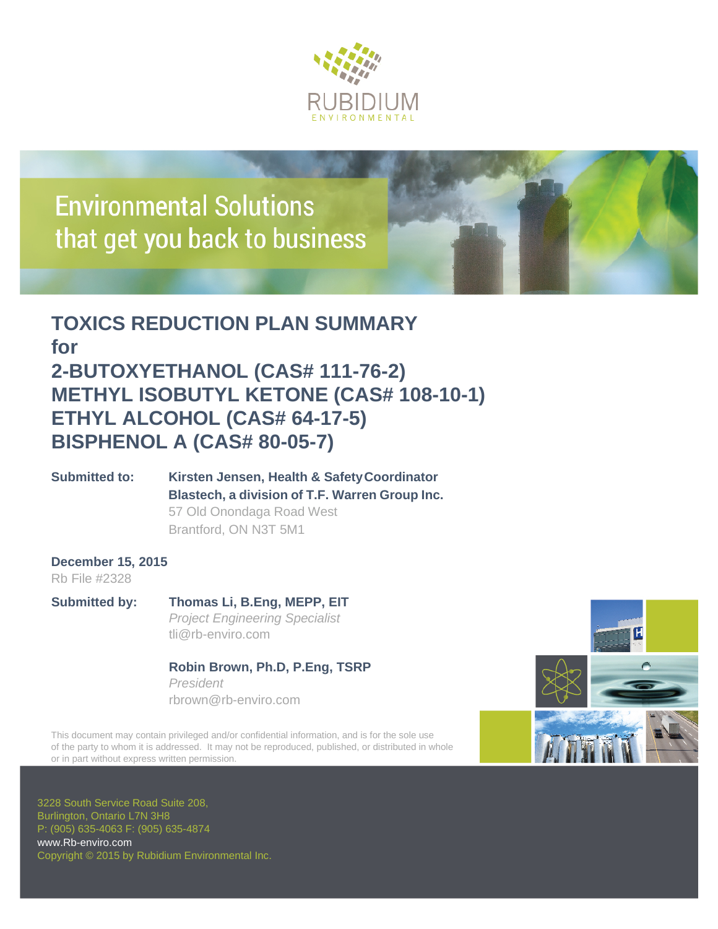

# **Environmental Solutions** that get you back to business

### **TOXICS REDUCTION PLAN SUMMARY for 2-BUTOXYETHANOL (CAS# 111-76-2) METHYL ISOBUTYL KETONE (CAS# 108-10-1) ETHYL ALCOHOL (CAS# 64-17-5) BISPHENOL A (CAS# 80-05-7)**

**Submitted to: Kirsten Jensen, Health & SafetyCoordinator Blastech, a division of T.F. Warren Group Inc.** 57 Old Onondaga Road West Brantford, ON N3T 5M1

#### **December 15, 2015** Rb File #2328

**Submitted by: Thomas Li, B.Eng, MEPP, EIT** *Project Engineering Specialist* tli@rb-enviro.com

#### **Robin Brown, Ph.D, P.Eng, TSRP** *President* rbrown@rb-enviro.com

This document may contain privileged and/or confidential information, and is for the sole use of the party to whom it is addressed. It may not be reproduced, published, or distributed in whole or in part without express written permission.



3228 South Service Road Suite 208, Burlington, Ontario L7N 3H8 P: (905) 635-4063 F: (905) 635-4874 [www.Rb-enviro.com](http://www.rb-enviro.com/) Copyright © 2015 by Rubidium Environmental Inc.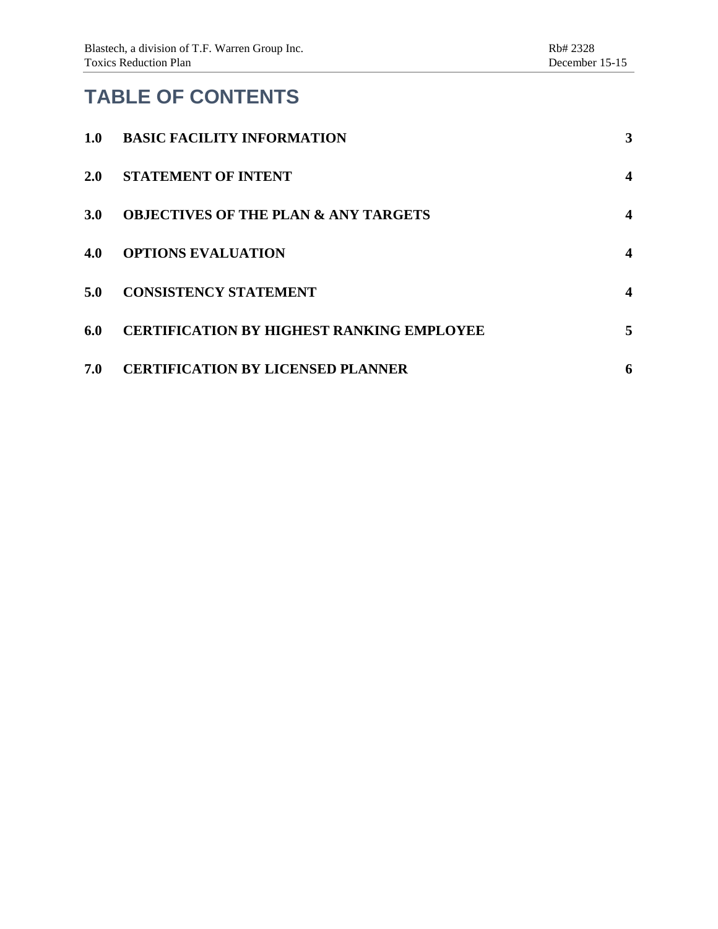## **TABLE OF CONTENTS**

| 1.0 | <b>BASIC FACILITY INFORMATION</b>                | 3                |
|-----|--------------------------------------------------|------------------|
| 2.0 | <b>STATEMENT OF INTENT</b>                       | $\boldsymbol{4}$ |
| 3.0 | <b>OBJECTIVES OF THE PLAN &amp; ANY TARGETS</b>  | $\boldsymbol{4}$ |
| 4.0 | <b>OPTIONS EVALUATION</b>                        | $\boldsymbol{4}$ |
| 5.0 | <b>CONSISTENCY STATEMENT</b>                     | $\boldsymbol{4}$ |
| 6.0 | <b>CERTIFICATION BY HIGHEST RANKING EMPLOYEE</b> | 5                |
| 7.0 | <b>CERTIFICATION BY LICENSED PLANNER</b>         | 6                |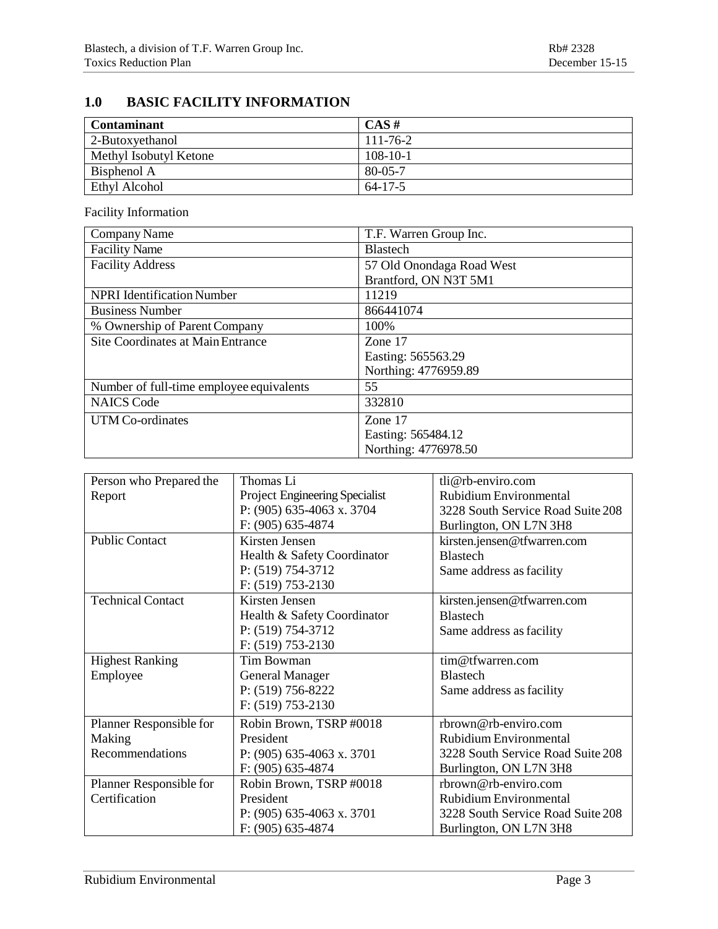### <span id="page-2-0"></span>**1.0 BASIC FACILITY INFORMATION**

| <b>Contaminant</b>     | $CAS \#$       |
|------------------------|----------------|
| 2-Butoxyethanol        | $111 - 76 - 2$ |
| Methyl Isobutyl Ketone | $108-10-1$     |
| Bisphenol A            | 80-05-7        |
| Ethyl Alcohol          | $64 - 17 - 5$  |

Facility Information

| Company Name                             | T.F. Warren Group Inc.    |  |
|------------------------------------------|---------------------------|--|
| <b>Facility Name</b>                     | <b>Blastech</b>           |  |
| <b>Facility Address</b>                  | 57 Old Onondaga Road West |  |
|                                          | Brantford, ON N3T 5M1     |  |
| <b>NPRI</b> Identification Number        | 11219                     |  |
| <b>Business Number</b>                   | 866441074                 |  |
| % Ownership of Parent Company            | 100%                      |  |
| Site Coordinates at Main Entrance        | Zone 17                   |  |
|                                          | Easting: 565563.29        |  |
|                                          | Northing: 4776959.89      |  |
| Number of full-time employee equivalents | 55                        |  |
| <b>NAICS</b> Code                        | 332810                    |  |
| UTM Co-ordinates                         | Zone 17                   |  |
|                                          | Easting: 565484.12        |  |
|                                          | Northing: 4776978.50      |  |

| Person who Prepared the  | Thomas Li                      | tli@rb-enviro.com                 |
|--------------------------|--------------------------------|-----------------------------------|
| Report                   | Project Engineering Specialist | Rubidium Environmental            |
|                          | P: (905) 635-4063 x. 3704      | 3228 South Service Road Suite 208 |
|                          | F: (905) 635-4874              | Burlington, ON L7N 3H8            |
| <b>Public Contact</b>    | Kirsten Jensen                 | kirsten.jensen@tfwarren.com       |
|                          | Health & Safety Coordinator    | <b>Blastech</b>                   |
|                          | P: $(519)$ 754-3712            | Same address as facility          |
|                          | $F: (519) 753-2130$            |                                   |
| <b>Technical Contact</b> | Kirsten Jensen                 | kirsten.jensen@tfwarren.com       |
|                          | Health & Safety Coordinator    | <b>Blastech</b>                   |
|                          | P: (519) 754-3712              | Same address as facility          |
|                          | $F: (519) 753-2130$            |                                   |
| <b>Highest Ranking</b>   | Tim Bowman                     | tim@tfwarren.com                  |
| Employee                 | <b>General Manager</b>         | <b>Blastech</b>                   |
|                          | P: $(519)$ 756-8222            | Same address as facility          |
|                          | $F: (519) 753-2130$            |                                   |
| Planner Responsible for  | Robin Brown, TSRP #0018        | rbrown@rb-enviro.com              |
| Making                   | President                      | Rubidium Environmental            |
| Recommendations          | P: $(905)$ 635-4063 x. 3701    | 3228 South Service Road Suite 208 |
|                          | $F: (905) 635-4874$            | Burlington, ON L7N 3H8            |
| Planner Responsible for  | Robin Brown, TSRP #0018        | rbrown@rb-enviro.com              |
| Certification            | President                      | Rubidium Environmental            |
|                          | P: $(905)$ 635-4063 x. 3701    | 3228 South Service Road Suite 208 |
|                          | $F: (905) 635-4874$            | Burlington, ON L7N 3H8            |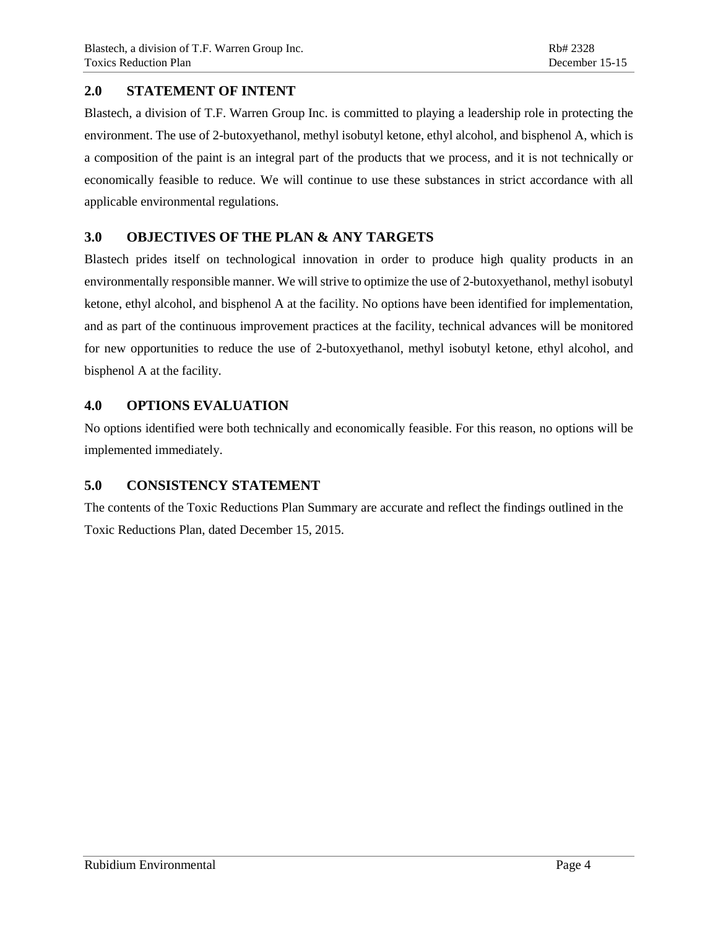#### <span id="page-3-0"></span>**2.0 STATEMENT OF INTENT**

Blastech, a division of T.F. Warren Group Inc. is committed to playing a leadership role in protecting the environment. The use of 2-butoxyethanol, methyl isobutyl ketone, ethyl alcohol, and bisphenol A, which is a composition of the paint is an integral part of the products that we process, and it is not technically or economically feasible to reduce. We will continue to use these substances in strict accordance with all applicable environmental regulations.

#### <span id="page-3-1"></span>**3.0 OBJECTIVES OF THE PLAN & ANY TARGETS**

Blastech prides itself on technological innovation in order to produce high quality products in an environmentally responsible manner. We will strive to optimize the use of 2-butoxyethanol, methyl isobutyl ketone, ethyl alcohol, and bisphenol A at the facility. No options have been identified for implementation, and as part of the continuous improvement practices at the facility, technical advances will be monitored for new opportunities to reduce the use of 2-butoxyethanol, methyl isobutyl ketone, ethyl alcohol, and bisphenol A at the facility.

#### <span id="page-3-2"></span>**4.0 OPTIONS EVALUATION**

No options identified were both technically and economically feasible. For this reason, no options will be implemented immediately.

#### <span id="page-3-3"></span>**5.0 CONSISTENCY STATEMENT**

The contents of the Toxic Reductions Plan Summary are accurate and reflect the findings outlined in the Toxic Reductions Plan, dated December 15, 2015.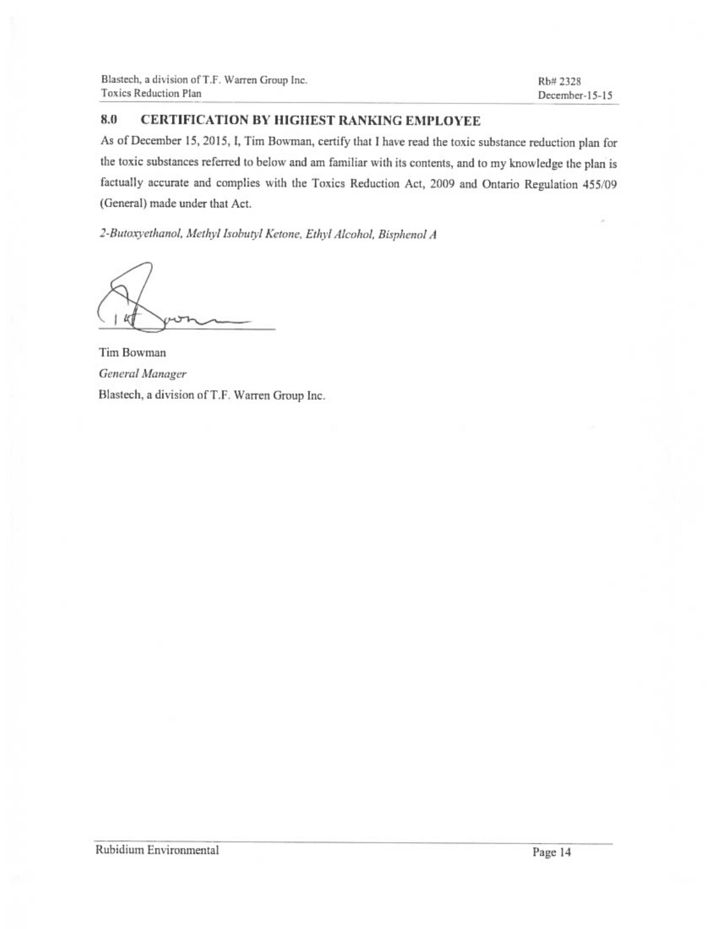#### 8.0 **CERTIFICATION BY HIGHEST RANKING EMPLOYEE**

As of December 15, 2015, I, Tim Bowman, certify that I have read the toxic substance reduction plan for the toxic substances referred to below and am familiar with its contents, and to my knowledge the plan is factually accurate and complies with the Toxics Reduction Act, 2009 and Ontario Regulation 455/09 (General) made under that Act.

2-Butoxyethanol, Methyl Isobutyl Ketone, Ethyl Alcohol, Bisphenol A

Ш

Tim Bowman General Manager Blastech, a division of T.F. Warren Group Inc.